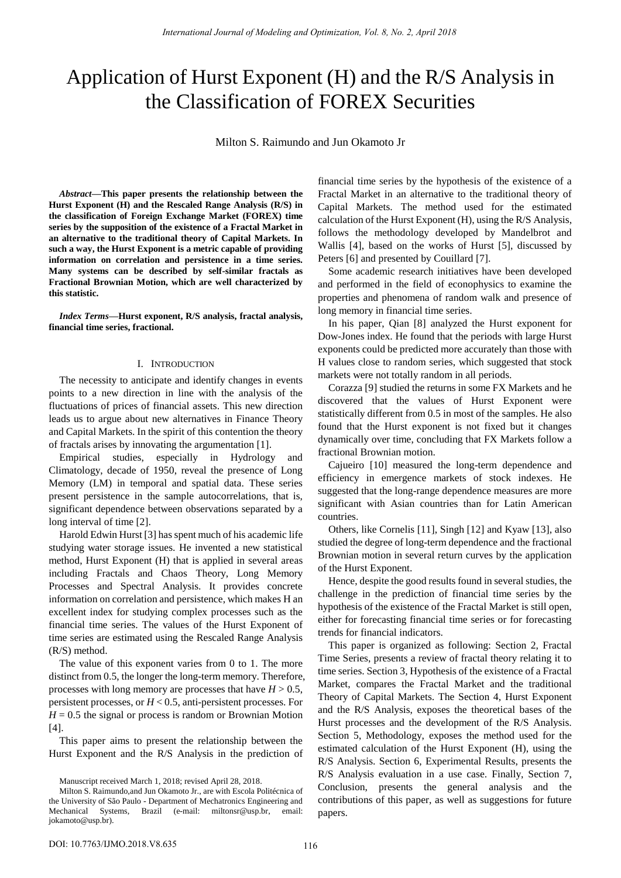# Application of Hurst Exponent (H) and the R/S Analysis in the Classification of FOREX Securities

Milton S. Raimundo and Jun Okamoto Jr

*Abstract***—This paper presents the relationship between the Hurst Exponent (H) and the Rescaled Range Analysis (R/S) in the classification of Foreign Exchange Market (FOREX) time series by the supposition of the existence of a Fractal Market in an alternative to the traditional theory of Capital Markets. In such a way, the Hurst Exponent is a metric capable of providing information on correlation and persistence in a time series. Many systems can be described by self-similar fractals as Fractional Brownian Motion, which are well characterized by this statistic.** 

*Index Terms***—Hurst exponent, R/S analysis, fractal analysis, financial time series, fractional.** 

# I. INTRODUCTION

The necessity to anticipate and identify changes in events points to a new direction in line with the analysis of the fluctuations of prices of financial assets. This new direction leads us to argue about new alternatives in Finance Theory and Capital Markets. In the spirit of this contention the theory of fractals arises by innovating the argumentation [1].

Empirical studies, especially in Hydrology and Climatology, decade of 1950, reveal the presence of Long Memory (LM) in temporal and spatial data. These series present persistence in the sample autocorrelations, that is, significant dependence between observations separated by a long interval of time [2].

Harold Edwin Hurst [3] has spent much of his academic life studying water storage issues. He invented a new statistical method, Hurst Exponent (H) that is applied in several areas including Fractals and Chaos Theory, Long Memory Processes and Spectral Analysis. It provides concrete information on correlation and persistence, which makes H an excellent index for studying complex processes such as the financial time series. The values of the Hurst Exponent of time series are estimated using the Rescaled Range Analysis (R/S) method.

The value of this exponent varies from 0 to 1. The more distinct from 0.5, the longer the long-term memory. Therefore, processes with long memory are processes that have  $H > 0.5$ , persistent processes, or *H* < 0.5, anti-persistent processes. For  $H = 0.5$  the signal or process is random or Brownian Motion [4].

This paper aims to present the relationship between the Hurst Exponent and the R/S Analysis in the prediction of

Manuscript received March 1, 2018; revised April 28, 2018.

financial time series by the hypothesis of the existence of a Fractal Market in an alternative to the traditional theory of Capital Markets. The method used for the estimated calculation of the Hurst Exponent (H), using the R/S Analysis, follows the methodology developed by Mandelbrot and Wallis [4], based on the works of Hurst [5], discussed by Peters [6] and presented by Couillard [7].

Some academic research initiatives have been developed and performed in the field of econophysics to examine the properties and phenomena of random walk and presence of long memory in financial time series.

In his paper, Qian [8] analyzed the Hurst exponent for Dow-Jones index. He found that the periods with large Hurst exponents could be predicted more accurately than those with H values close to random series, which suggested that stock markets were not totally random in all periods.

Corazza [9] studied the returns in some FX Markets and he discovered that the values of Hurst Exponent were statistically different from 0.5 in most of the samples. He also found that the Hurst exponent is not fixed but it changes dynamically over time, concluding that FX Markets follow a fractional Brownian motion.

Cajueiro [10] measured the long-term dependence and efficiency in emergence markets of stock indexes. He suggested that the long-range dependence measures are more significant with Asian countries than for Latin American countries.

Others, like Cornelis [11], Singh [12] and Kyaw [13], also studied the degree of long-term dependence and the fractional Brownian motion in several return curves by the application of the Hurst Exponent.

Hence, despite the good results found in several studies, the challenge in the prediction of financial time series by the hypothesis of the existence of the Fractal Market is still open, either for forecasting financial time series or for forecasting trends for financial indicators.

This paper is organized as following: Section 2, Fractal Time Series, presents a review of fractal theory relating it to time series. Section 3, Hypothesis of the existence of a Fractal Market, compares the Fractal Market and the traditional Theory of Capital Markets. The Section 4, Hurst Exponent and the R/S Analysis, exposes the theoretical bases of the Hurst processes and the development of the R/S Analysis. Section 5, Methodology, exposes the method used for the estimated calculation of the Hurst Exponent (H), using the R/S Analysis. Section 6, Experimental Results, presents the R/S Analysis evaluation in a use case. Finally, Section 7, Conclusion, presents the general analysis and the contributions of this paper, as well as suggestions for future papers.

Milton S. Raimundo, and Jun Okamoto Jr., are with Escola Politécnica of the University of São Paulo - Department of Mechatronics Engineering and Mechanical Systems, Brazil (e-mail: [miltonsr@usp.br,](mailto:miltonsr@usp.br) email: [jokamoto@usp.br\)](mailto:jokamoto@usp.br).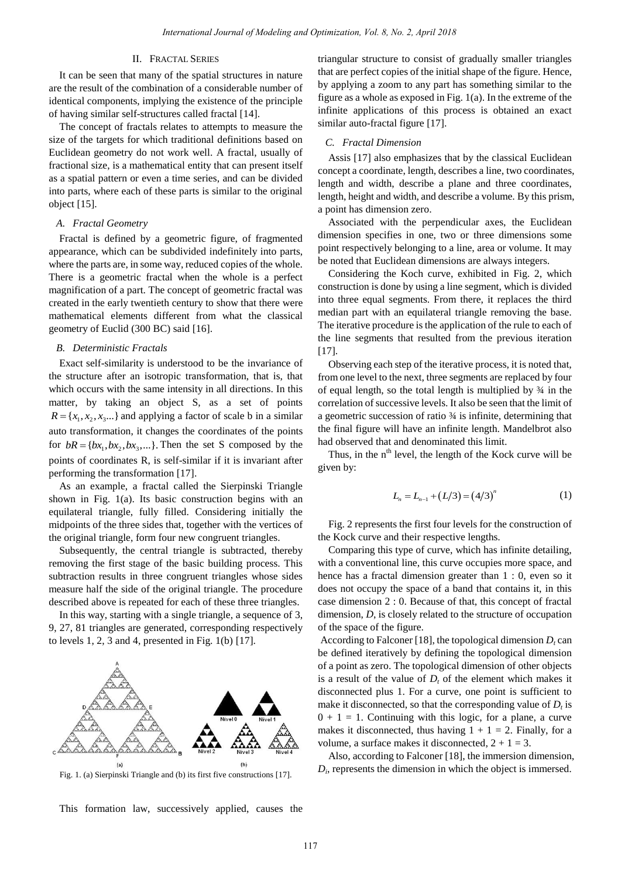# II. FRACTAL SERIES

It can be seen that many of the spatial structures in nature are the result of the combination of a considerable number of identical components, implying the existence of the principle of having similar self-structures called fractal [14].

The concept of fractals relates to attempts to measure the size of the targets for which traditional definitions based on Euclidean geometry do not work well. A fractal, usually of fractional size, is a mathematical entity that can present itself as a spatial pattern or even a time series, and can be divided into parts, where each of these parts is similar to the original object [15].

# *A. Fractal Geometry*

Fractal is defined by a geometric figure, of fragmented appearance, which can be subdivided indefinitely into parts, where the parts are, in some way, reduced copies of the whole. There is a geometric fractal when the whole is a perfect magnification of a part. The concept of geometric fractal was created in the early twentieth century to show that there were mathematical elements different from what the classical geometry of Euclid (300 BC) said [16].

# *B. Deterministic Fractals*

Exact self-similarity is understood to be the invariance of the structure after an isotropic transformation, that is, that which occurs with the same intensity in all directions. In this matter, by taking an object S, as a set of points  $R = \{x_1, x_2, x_3, ...\}$  and applying a factor of scale b in a similar auto transformation, it changes the coordinates of the points for  $bR = \{bx_1, bx_2, bx_3, ...\}$ . Then the set S composed by the points of coordinates R, is self-similar if it is invariant after performing the transformation [17].

As an example, a fractal called the Sierpinski Triangle shown in Fig. 1(a). Its basic construction begins with an equilateral triangle, fully filled. Considering initially the midpoints of the three sides that, together with the vertices of the original triangle, form four new congruent triangles.

Subsequently, the central triangle is subtracted, thereby removing the first stage of the basic building process. This subtraction results in three congruent triangles whose sides measure half the side of the original triangle. The procedure described above is repeated for each of these three triangles.

In this way, starting with a single triangle, a sequence of 3, 9, 27, 81 triangles are generated, corresponding respectively to levels  $1, 2, 3$  and  $4$ , presented in Fig.  $1(b)$  [17].



Fig. 1. (a) Sierpinski Triangle and (b) its first five constructions [17].

This formation law, successively applied, causes the

triangular structure to consist of gradually smaller triangles that are perfect copies of the initial shape of the figure. Hence, by applying a zoom to any part has something similar to the figure as a whole as exposed in Fig. 1(a). In the extreme of the infinite applications of this process is obtained an exact similar auto-fractal figure [17].

## *C. Fractal Dimension*

Assis [17] also emphasizes that by the classical Euclidean concept a coordinate, length, describes a line, two coordinates, length and width, describe a plane and three coordinates, length, height and width, and describe a volume. By this prism, a point has dimension zero.

Associated with the perpendicular axes, the Euclidean dimension specifies in one, two or three dimensions some point respectively belonging to a line, area or volume. It may be noted that Euclidean dimensions are always integers.

Considering the Koch curve, exhibited in Fig. 2, which construction is done by using a line segment, which is divided into three equal segments. From there, it replaces the third median part with an equilateral triangle removing the base. The iterative procedure is the application of the rule to each of the line segments that resulted from the previous iteration  $[17]$ .

Observing each step of the iterative process, it is noted that, from one level to the next, three segments are replaced by four of equal length, so the total length is multiplied by ¾ in the correlation of successive levels. It also be seen that the limit of a geometric succession of ratio ¾ is infinite, determining that the final figure will have an infinite length. Mandelbrot also had observed that and denominated this limit.

Thus, in the  $n<sup>th</sup>$  level, the length of the Kock curve will be given by:

$$
L_n = L_{n-1} + (L/3) = (4/3)^n \tag{1}
$$

Fig. 2 represents the first four levels for the construction of the Kock curve and their respective lengths.

Comparing this type of curve, which has infinite detailing, with a conventional line, this curve occupies more space, and hence has a fractal dimension greater than 1 : 0, even so it does not occupy the space of a band that contains it, in this case dimension 2 : 0. Because of that, this concept of fractal dimension, *D*, is closely related to the structure of occupation of the space of the figure.

According to Falconer [18], the topological dimension  $D_t$  can be defined iteratively by defining the topological dimension of a point as zero. The topological dimension of other objects is a result of the value of  $D_t$  of the element which makes it disconnected plus 1. For a curve, one point is sufficient to make it disconnected, so that the corresponding value of  $D_t$  is  $0 + 1 = 1$ . Continuing with this logic, for a plane, a curve makes it disconnected, thus having  $1 + 1 = 2$ . Finally, for a volume, a surface makes it disconnected,  $2 + 1 = 3$ .

Also, according to Falconer [18], the immersion dimension,  $D_i$ , represents the dimension in which the object is immersed.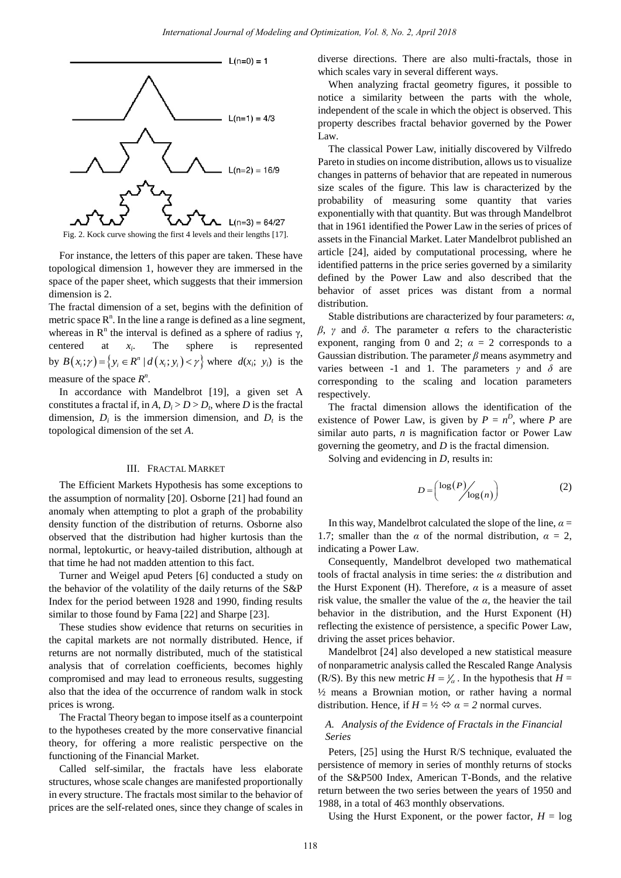

For instance, the letters of this paper are taken. These have topological dimension 1, however they are immersed in the space of the paper sheet, which suggests that their immersion dimension is 2.

The fractal dimension of a set, begins with the definition of metric space  $R<sup>n</sup>$ . In the line a range is defined as a line segment, whereas in  $\mathbb{R}^n$  the interval is defined as a sphere of radius  $\gamma$ , centered at *x<sup>i</sup>* . The sphere is represented centered at  $x_i$ . The sphere is represented<br>by  $B(x_i; \gamma) = \{y_i \in R^n | d(x_i; y_i) < \gamma\}$  where  $d(x_i; y_i)$  is the measure of the space  $R^n$ .

In accordance with Mandelbrot [19], a given set A constitutes a fractal if, in  $A, D_i > D > D_t$ , where *D* is the fractal dimension,  $D_i$  is the immersion dimension, and  $D_t$  is the topological dimension of the set *A*.

### III. FRACTAL MARKET

The Efficient Markets Hypothesis has some exceptions to the assumption of normality [20]. Osborne [21] had found an anomaly when attempting to plot a graph of the probability density function of the distribution of returns. Osborne also observed that the distribution had higher kurtosis than the normal, leptokurtic, or heavy-tailed distribution, although at that time he had not madden attention to this fact.

Turner and Weigel apud Peters [6] conducted a study on the behavior of the volatility of the daily returns of the S&P Index for the period between 1928 and 1990, finding results similar to those found by Fama [22] and Sharpe [23].

These studies show evidence that returns on securities in the capital markets are not normally distributed. Hence, if returns are not normally distributed, much of the statistical analysis that of correlation coefficients, becomes highly compromised and may lead to erroneous results, suggesting also that the idea of the occurrence of random walk in stock prices is wrong.

The Fractal Theory began to impose itself as a counterpoint to the hypotheses created by the more conservative financial theory, for offering a more realistic perspective on the functioning of the Financial Market.

Called self-similar, the fractals have less elaborate structures, whose scale changes are manifested proportionally in every structure. The fractals most similar to the behavior of prices are the self-related ones, since they change of scales in diverse directions. There are also multi-fractals, those in which scales vary in several different ways.

When analyzing fractal geometry figures, it possible to notice a similarity between the parts with the whole, independent of the scale in which the object is observed. This property describes fractal behavior governed by the Power Law.

The classical Power Law, initially discovered by Vilfredo Pareto in studies on income distribution, allows us to visualize changes in patterns of behavior that are repeated in numerous size scales of the figure. This law is characterized by the probability of measuring some quantity that varies exponentially with that quantity. But was through Mandelbrot that in 1961 identified the Power Law in the series of prices of assets in the Financial Market. Later Mandelbrot published an article [24], aided by computational processing, where he identified patterns in the price series governed by a similarity defined by the Power Law and also described that the behavior of asset prices was distant from a normal distribution.

Stable distributions are characterized by four parameters: *α*, *β*, *γ* and *δ*. The parameter α refers to the characteristic exponent, ranging from 0 and 2;  $\alpha = 2$  corresponds to a Gaussian distribution. The parameter *β* means asymmetry and varies between -1 and 1. The parameters *γ* and *δ* are corresponding to the scaling and location parameters respectively.

The fractal dimension allows the identification of the existence of Power Law, is given by  $P = n^D$ , where P are similar auto parts, *n* is magnification factor or Power Law governing the geometry, and *D* is the fractal dimension.

Solving and evidencing in *D*, results in:

$$
D = \begin{pmatrix} \log(P) / \\ \log(n) \end{pmatrix} \tag{2}
$$

In this way, Mandelbrot calculated the slope of the line,  $\alpha =$ 1.7; smaller than the  $\alpha$  of the normal distribution,  $\alpha = 2$ , indicating a Power Law.

Consequently, Mandelbrot developed two mathematical tools of fractal analysis in time series: the *α* distribution and the Hurst Exponent (H). Therefore,  $\alpha$  is a measure of asset risk value, the smaller the value of the  $\alpha$ , the heavier the tail behavior in the distribution, and the Hurst Exponent (H) reflecting the existence of persistence, a specific Power Law, driving the asset prices behavior.

Mandelbrot [24] also developed a new statistical measure of nonparametric analysis called the Rescaled Range Analysis (R/S). By this new metric  $H = \frac{1}{a}$ . In the hypothesis that  $H =$ ½ means a Brownian motion, or rather having a normal distribution. Hence, if  $H = \frac{1}{2} \Leftrightarrow \alpha = 2$  normal curves.

# *A. Analysis of the Evidence of Fractals in the Financial Series*

Peters, [25] using the Hurst R/S technique, evaluated the persistence of memory in series of monthly returns of stocks of the S&P500 Index, American T-Bonds, and the relative return between the two series between the years of 1950 and 1988, in a total of 463 monthly observations.

Using the Hurst Exponent, or the power factor,  $H = \log$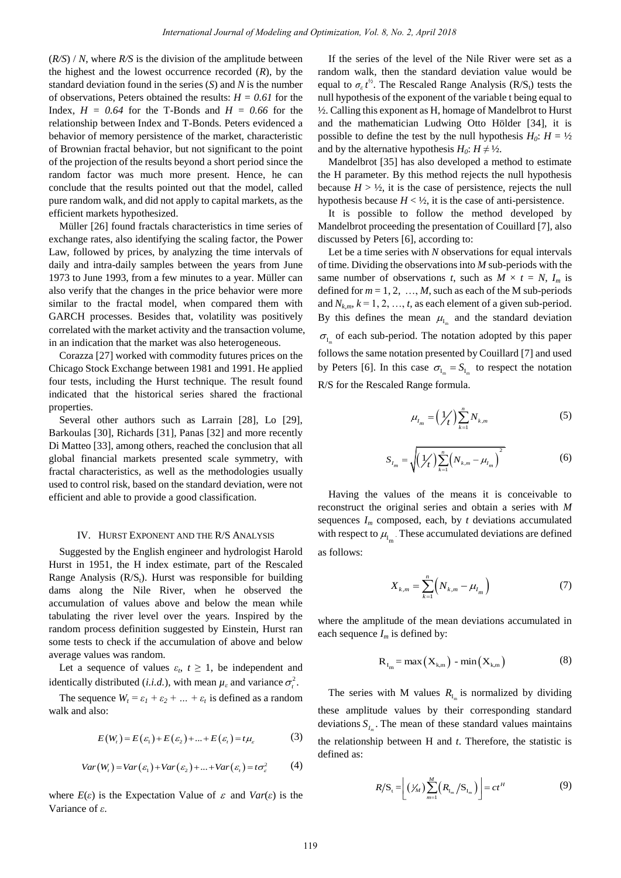(*R/S*) / *N*, where *R/S* is the division of the amplitude between the highest and the lowest occurrence recorded (*R*), by the standard deviation found in the series (*S*) and *N* is the number of observations, Peters obtained the results:  $H = 0.61$  for the Index,  $H = 0.64$  for the T-Bonds and  $H = 0.66$  for the relationship between Index and T-Bonds. Peters evidenced a behavior of memory persistence of the market, characteristic of Brownian fractal behavior, but not significant to the point of the projection of the results beyond a short period since the random factor was much more present. Hence, he can conclude that the results pointed out that the model, called pure random walk, and did not apply to capital markets, as the efficient markets hypothesized.

Müller [26] found fractals characteristics in time series of exchange rates, also identifying the scaling factor, the Power Law, followed by prices, by analyzing the time intervals of daily and intra-daily samples between the years from June 1973 to June 1993, from a few minutes to a year. Müller can also verify that the changes in the price behavior were more similar to the fractal model, when compared them with GARCH processes. Besides that, volatility was positively correlated with the market activity and the transaction volume, in an indication that the market was also heterogeneous.

Corazza [27] worked with commodity futures prices on the Chicago Stock Exchange between 1981 and 1991. He applied four tests, including the Hurst technique. The result found indicated that the historical series shared the fractional properties.

Several other authors such as Larrain [28], Lo [29], Barkoulas [30], Richards [31], Panas [32] and more recently Di Matteo [33], among others, reached the conclusion that all global financial markets presented scale symmetry, with fractal characteristics, as well as the methodologies usually used to control risk, based on the standard deviation, were not efficient and able to provide a good classification.

## IV. HURST EXPONENT AND THE R/S ANALYSIS

Suggested by the English engineer and hydrologist Harold Hurst in 1951, the H index estimate, part of the Rescaled Range Analysis  $(R/S_t)$ . Hurst was responsible for building dams along the Nile River, when he observed the accumulation of values above and below the mean while tabulating the river level over the years. Inspired by the random process definition suggested by Einstein, Hurst ran some tests to check if the accumulation of above and below average values was random.

Let a sequence of values  $\varepsilon_t$ ,  $t \geq 1$ , be independent and identically distributed (*i.i.d.*), with mean  $\mu_{\varepsilon}$  and variance  $\sigma_{t}^{2}$ .

The sequence  $W_t = \varepsilon_1 + \varepsilon_2 + ... + \varepsilon_t$  is defined as a random walk and also:

$$
E(Wt) = E(\varepsilon1) + E(\varepsilon2) + ... + E(\varepsilont) = t\mu\varepsilon
$$
 (3)

$$
Var(W_t) = Var(\varepsilon_1) + Var(\varepsilon_2) + ... + Var(\varepsilon_t) = t\sigma_{\varepsilon}^2
$$
 (4)

where  $E(\varepsilon)$  is the Expectation Value of  $\varepsilon$  and  $Var(\varepsilon)$  is the Variance of *ε*.

If the series of the level of the Nile River were set as a random walk, then the standard deviation value would be equal to  $\sigma_{\varepsilon} t^{\frac{1}{2}}$ . The Rescaled Range Analysis (R/S<sub>t</sub>) tests the null hypothesis of the exponent of the variable t being equal to ½. Calling this exponent as H, homage of Mandelbrot to Hurst and the mathematician Ludwing Otto Hölder [34], it is possible to define the test by the null hypothesis  $H_0$ :  $H = \frac{1}{2}$ and by the alternative hypothesis  $H_0$ :  $H \neq \frac{1}{2}$ .

Mandelbrot [35] has also developed a method to estimate the H parameter. By this method rejects the null hypothesis because  $H > \frac{1}{2}$ , it is the case of persistence, rejects the null hypothesis because  $H < \frac{1}{2}$ , it is the case of anti-persistence.

It is possible to follow the method developed by Mandelbrot proceeding the presentation of Couillard [7], also discussed by Peters [6], according to:

Let be a time series with *N* observations for equal intervals of time. Dividing the observations into *M* sub-periods with the same number of observations *t*, such as  $M \times t = N$ ,  $I_m$  is defined for  $m = 1, 2, ..., M$ , such as each of the M sub-periods and  $N_{k,m}$ ,  $k = 1, 2, ..., t$ , as each element of a given sub-period. By this defines the mean  $\mu_{I_m}$  and the standard deviation  $\sigma_{I_m}$  of each sub-period. The notation adopted by this paper follows the same notation presented by Couillard [7] and used by Peters [6]. In this case  $\sigma_{I_m} = S_{I_m}$  to respect the notation R/S for the Rescaled Range formula.

$$
\mu_{I_m} = \left(\frac{1}{t}\right) \sum_{k=1}^{n} N_{k,m} \tag{5}
$$

$$
S_{I_m} = \sqrt{\left(\frac{1}{t}\right) \sum_{k=1}^n \left(N_{k,m} - \mu_{I_m}\right)^2}
$$
 (6)

Having the values of the means it is conceivable to reconstruct the original series and obtain a series with *M* sequences  $I_m$  composed, each, by  $t$  deviations accumulated with respect to  $\mu_{I_m}$ . These accumulated deviations are defined as follows:

$$
X_{k,m} = \sum_{k=1}^{n} \left( N_{k,m} - \mu_{I_m} \right) \tag{7}
$$

where the amplitude of the mean deviations accumulated in each sequence  $I_m$  is defined by:

$$
R_{I_m} = \max\left(X_{k,m}\right) - \min\left(X_{k,m}\right) \tag{8}
$$

The series with M values  $R_{I_m}$  is normalized by dividing these amplitude values by their corresponding standard deviations  $S_{I_m}$ . The mean of these standard values maintains the relationship between H and *t*. Therefore, the statistic is defined as:

$$
R/S_{t} = \left[ \left( \frac{V_{M}}{M} \right) \sum_{m=1}^{M} \left( R_{I_{m}} / S_{I_{m}} \right) \right] = ct^{H}
$$
 (9)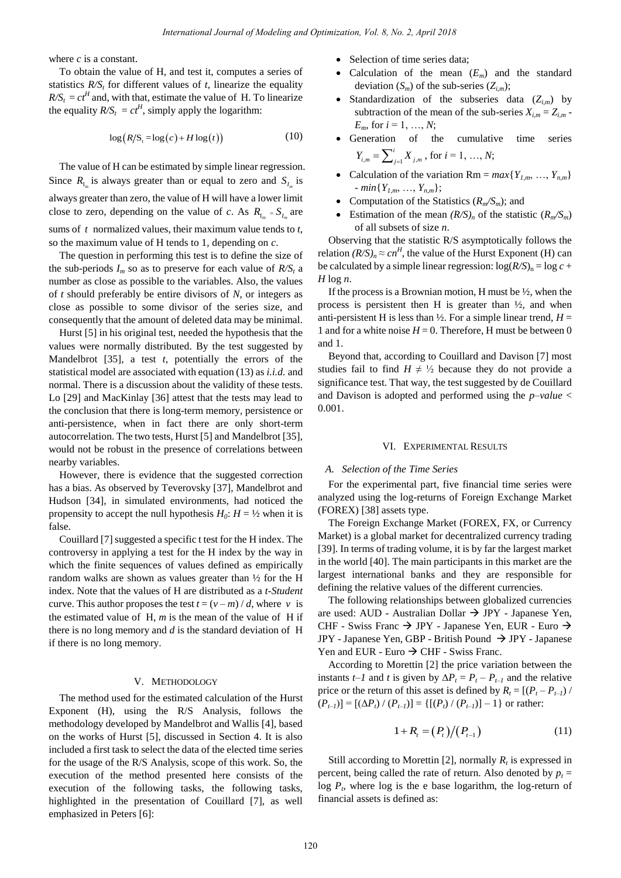where *c* is a constant.

To obtain the value of H, and test it, computes a series of statistics  $R/S_t$  for different values of  $t$ , linearize the equality  $R/S_t = ct^H$  and, with that, estimate the value of H. To linearize the equality  $R/S_t = ct^H$ , simply apply the logarithm:

$$
\log\big(R/S_{\mathfrak{t}} = \log(c) + H\log(t)\big) \tag{10}
$$

The value of H can be estimated by simple linear regression. Since  $R_{I_m}$  is always greater than or equal to zero and  $S_{I_m}$  is always greater than zero, the value of H will have a lower limit close to zero, depending on the value of *c*. As  $R_{I_m} = S_{I_m}$  are sums of *t* normalized values, their maximum value tends to *t*, so the maximum value of H tends to 1, depending on *c*.

The question in performing this test is to define the size of the sub-periods  $I_m$  so as to preserve for each value of  $R/S_t$  a number as close as possible to the variables. Also, the values of *t* should preferably be entire divisors of *N*, or integers as close as possible to some divisor of the series size, and consequently that the amount of deleted data may be minimal.

Hurst [5] in his original test, needed the hypothesis that the values were normally distributed. By the test suggested by Mandelbrot [35], a test *t*, potentially the errors of the statistical model are associated with equation (13) as *i.i.d.* and normal. There is a discussion about the validity of these tests. Lo [29] and MacKinlay [36] attest that the tests may lead to the conclusion that there is long-term memory, persistence or anti-persistence, when in fact there are only short-term autocorrelation. The two tests, Hurst [5] and Mandelbrot [35], would not be robust in the presence of correlations between nearby variables.

However, there is evidence that the suggested correction has a bias. As observed by Teverovsky [37], Mandelbrot and Hudson [34], in simulated environments, had noticed the propensity to accept the null hypothesis  $H_0$ :  $H = \frac{1}{2}$  when it is false.

Couillard [7] suggested a specific t test for the H index. The controversy in applying a test for the H index by the way in which the finite sequences of values defined as empirically random walks are shown as values greater than ½ for the H index. Note that the values of H are distributed as a *t-Student* curve. This author proposes the test  $t = (v - m) / d$ , where v is the estimated value of  $H$ ,  $m$  is the mean of the value of  $H$  if there is no long memory and *d* is the standard deviation of H if there is no long memory.

## V. METHODOLOGY

The method used for the estimated calculation of the Hurst Exponent (H), using the R/S Analysis, follows the methodology developed by Mandelbrot and Wallis [4], based on the works of Hurst [5], discussed in Section 4. It is also included a first task to select the data of the elected time series for the usage of the R/S Analysis, scope of this work. So, the execution of the method presented here consists of the execution of the following tasks, the following tasks, highlighted in the presentation of Couillard [7], as well emphasized in Peters [6]:

- Selection of time series data;
- Calculation of the mean  $(E_m)$  and the standard deviation  $(S_m)$  of the sub-series  $(Z_{i,m})$ ;
- Standardization of the subseries data (*Zi,m*) by subtraction of the mean of the sub-series  $X_{i,m} = Z_{i,m}$ . *Em*, for *i* = 1, …, *N*;
- Generation of the cumulative time series  $\mu_{m} - \sum_{j=1}^{\infty} \Lambda_{j}$  $Y_{i,m} = \sum_{j=1}^{i} X_{j,m}$ , for  $i = 1, ..., N$ ;
- Calculation of the variation Rm =  $max{Y_{1,m}, ..., Y_{n,m}}$ - *min*{*Y1,m*, …, *Yn,m*};
- Computation of the Statistics  $(R_m/S_m)$ ; and
- Estimation of the mean  $(R/S)_n$  of the statistic  $(R_m/S_m)$ of all subsets of size *n*.

Observing that the statistic R/S asymptotically follows the relation  $(R/S)_n \approx cn^H$ , the value of the Hurst Exponent (H) can be calculated by a simple linear regression:  $log(R/S)<sub>n</sub> = log c +$ *H* log *n*.

If the process is a Brownian motion, H must be  $\frac{1}{2}$ , when the process is persistent then H is greater than ½, and when anti-persistent H is less than  $\frac{1}{2}$ . For a simple linear trend,  $H =$ 1 and for a white noise  $H = 0$ . Therefore, H must be between 0 and 1.

Beyond that, according to Couillard and Davison [7] most studies fail to find  $H \neq \frac{1}{2}$  because they do not provide a significance test. That way, the test suggested by de Couillard and Davison is adopted and performed using the *p–value* < 0.001.

#### VI. EXPERIMENTAL RESULTS

#### *A. Selection of the Time Series*

For the experimental part, five financial time series were analyzed using the log-returns of Foreign Exchange Market (FOREX) [38] assets type.

The Foreign Exchange Market (FOREX, FX, or Currency Market) is a global market for decentralized currency trading [39]. In terms of trading volume, it is by far the largest market in the world [40]. The main participants in this market are the largest international banks and they are responsible for defining the relative values of the different currencies.

The following relationships between globalized currencies are used: AUD - Australian Dollar  $\rightarrow$  JPY - Japanese Yen, CHF - Swiss Franc  $\rightarrow$  JPY - Japanese Yen, EUR - Euro  $\rightarrow$ JPY - Japanese Yen, GBP - British Pound  $\rightarrow$  JPY - Japanese Yen and EUR - Euro  $\rightarrow$  CHF - Swiss Franc.

According to Morettin [2] the price variation between the instants *t–1* and *t* is given by  $\Delta P_t = P_t - P_{t-1}$  and the relative price or the return of this asset is defined by  $R_t = [(P_t - P_{t-1}) /$  $(P_{t-1})$ ] =  $[(\Delta P_t) / (P_{t-1})]$  =  $\{[(P_t) / (P_{t-1})] - 1\}$  or rather:

$$
1 + R_{t} = (P_{t})/(P_{t-1})
$$
\n(11)

Still according to Morettin [2], normally  $R_t$  is expressed in percent, being called the rate of return. Also denoted by  $p_t =$ log  $P_t$ , where log is the e base logarithm, the log-return of financial assets is defined as: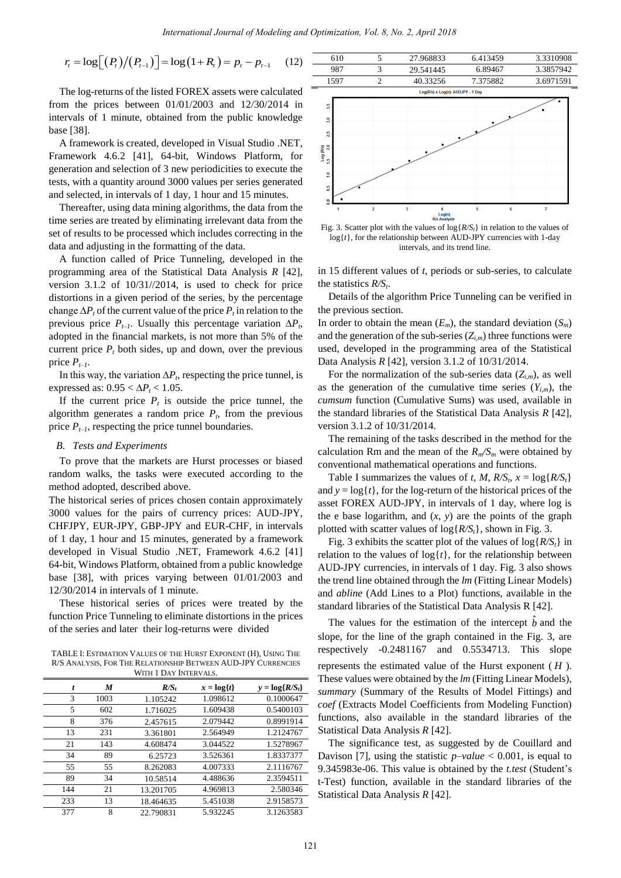$$
m_{\ell} = \log \left[ \left( P_{t} \right) / \left( P_{t-1} \right) \right] = \log \left( 1 + R_{t} \right) = p_{t} - p_{t-1} \qquad (12)
$$

The log-returns of the listed FOREX assets were calculated from the prices between 01/01/2003 and 12/30/2014 in intervals of 1 minute, obtained from the public knowledge base [38].

A framework is created, developed in Visual Studio .NET, Framework 4.6.2 [41], 64-bit, Windows Platform, for generation and selection of 3 new periodicities to execute the tests, with a quantity around 3000 values per series generated and selected, in intervals of 1 day, 1 hour and 15 minutes.

Thereafter, using data mining algorithms, the data from the time series are treated by eliminating irrelevant data from the set of results to be processed which includes correcting in the data and adjusting in the formatting of the data.

A function called of Price Tunneling, developed in the programming area of the Statistical Data Analysis *R* [42], version 3.1.2 of 10/31//2014, is used to check for price distortions in a given period of the series, by the percentage change  $\Delta P_t$  of the current value of the price  $P_t$  in relation to the previous price  $P_{t-1}$ . Usually this percentage variation  $\Delta P_t$ , adopted in the financial markets, is not more than 5% of the current price  $P_t$  both sides, up and down, over the previous price  $P_{t-1}$ .

In this way, the variation  $\Delta P_t$ , respecting the price tunnel, is expressed as:  $0.95 < \Delta P_t < 1.05$ .

If the current price  $P_t$  is outside the price tunnel, the algorithm generates a random price  $P_t$ , from the previous price  $P_{t-1}$ , respecting the price tunnel boundaries.

#### *B. Tests and Experiments*

To prove that the markets are Hurst processes or biased random walks, the tasks were executed according to the method adopted, described above.

The historical series of prices chosen contain approximately 3000 values for the pairs of currency prices: AUD-JPY, CHFJPY, EUR-JPY, GBP-JPY and EUR-CHF, in intervals of 1 day, 1 hour and 15 minutes, generated by a framework developed in Visual Studio .NET, Framework 4.6.2 [41] 64-bit, Windows Platform, obtained from a public knowledge base [38], with prices varying between 01/01/2003 and 12/30/2014 in intervals of 1 minute.

These historical series of prices were treated by the function Price Tunneling to eliminate distortions in the prices of the series and later their log-returns were divided

TABLE I: ESTIMATION VALUES OF THE HURST EXPONENT (H), USING THE R/S ANALYSIS, FOR THE RELATIONSHIP BETWEEN AUD-JPY CURRENCIES WITH 1 DAY INTERVALS

| t   | M    | $R/S_t$   | $x = log\{t\}$ | $y = log\{R/S_t\}$ |
|-----|------|-----------|----------------|--------------------|
| 3   | 1003 | 1.105242  | 1.098612       | 0.1000647          |
| 5   | 602  | 1.716025  | 1.609438       | 0.5400103          |
| 8   | 376  | 2.457615  | 2.079442       | 0.8991914          |
| 13  | 231  | 3.361801  | 2.564949       | 1.2124767          |
| 21  | 143  | 4.608474  | 3.044522       | 1.5278967          |
| 34  | 89   | 6.25723   | 3.526361       | 1.8337377          |
| 55  | 55   | 8.262083  | 4.007333       | 2.1116767          |
| 89  | 34   | 10.58514  | 4.488636       | 2.3594511          |
| 144 | 21   | 13.201705 | 4.969813       | 2.580346           |
| 233 | 13   | 18.464635 | 5.451038       | 2.9158573          |
| 377 | 8    | 22.790831 | 5.932245       | 3.1263583          |



610 5 27.968833 6.413459 3.3310908

Fig. 3. Scatter plot with the values of log{*R/St*} in relation to the values of  $log{t}$ , for the relationship between AUD-JPY currencies with 1-day intervals, and its trend line.

in 15 different values of *t*, periods or sub-series, to calculate the statistics *R/S<sup>t</sup>* .

Details of the algorithm Price Tunneling can be verified in the previous section.

In order to obtain the mean  $(E_m)$ , the standard deviation  $(S_m)$ and the generation of the sub-series  $(Z_{i,m})$  three functions were used, developed in the programming area of the Statistical Data Analysis *R* [42], version 3.1.2 of 10/31/2014.

For the normalization of the sub-series data  $(Z_{i,m})$ , as well as the generation of the cumulative time series  $(Y_{i,m})$ , the *cumsum* function (Cumulative Sums) was used, available in the standard libraries of the Statistical Data Analysis *R* [42], version 3.1.2 of 10/31/2014.

The remaining of the tasks described in the method for the calculation Rm and the mean of the  $R_m/S_m$  were obtained by conventional mathematical operations and functions.

Table I summarizes the values of *t*, *M*,  $R/S_t$ ,  $x = \log\{R/S_t\}$ and  $y = log{t}$ , for the log-return of the historical prices of the asset FOREX AUD-JPY, in intervals of 1 day, where log is the e base logarithm, and  $(x, y)$  are the points of the graph plotted with scatter values of log{*R/St*}, shown in Fig. 3.

Fig. 3 exhibits the scatter plot of the values of log{*R/St*} in relation to the values of  $log\{t\}$ , for the relationship between AUD-JPY currencies, in intervals of 1 day. Fig. 3 also shows the trend line obtained through the *lm* (Fitting Linear Models) and *abline* (Add Lines to a Plot) functions, available in the standard libraries of the Statistical Data Analysis R [42].

The values for the estimation of the intercept *b* and the slope, for the line of the graph contained in the Fig. 3, are respectively -0.2481167 and 0.5534713. This slope represents the estimated value of the Hurst exponent ( *H* ). These values were obtained by the *lm* (Fitting Linear Models), *summary* (Summary of the Results of Model Fittings) and *coef* (Extracts Model Coefficients from Modeling Function) functions, also available in the standard libraries of the Statistical Data Analysis *R* [42].

The significance test, as suggested by de Couillard and Davison [7], using the statistic *p–value* < 0.001, is equal to 9.345983e-06. This value is obtained by the *t.test* (Student's t-Test) function, available in the standard libraries of the Statistical Data Analysis *R* [42].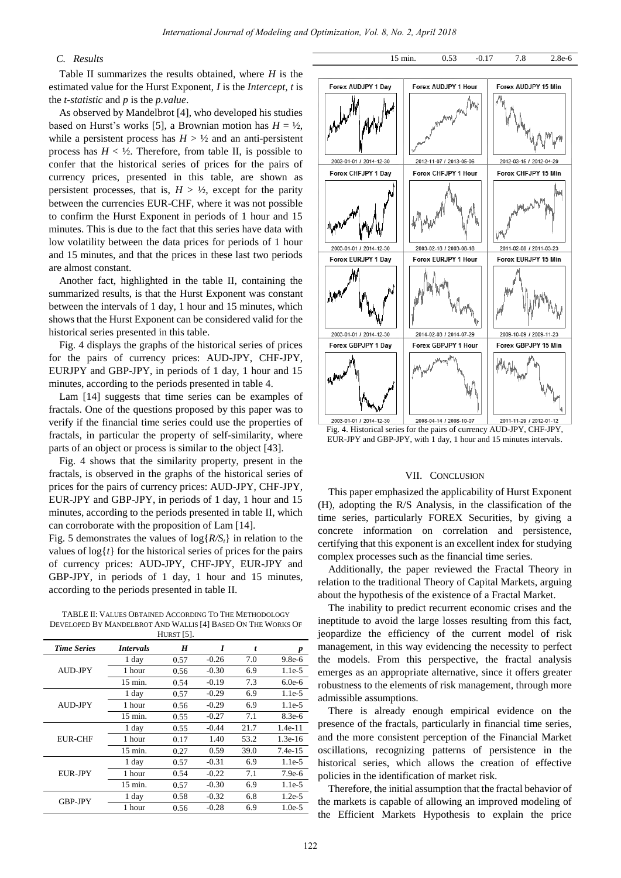# *C. Results*

Table II summarizes the results obtained, where *H* is the estimated value for the Hurst Exponent, *I* is the *Intercept*, *t* is the *t-statistic* and *p* is the *p.value*.

As observed by Mandelbrot [4], who developed his studies based on Hurst's works [5], a Brownian motion has  $H = \frac{1}{2}$ , while a persistent process has  $H > \frac{1}{2}$  and an anti-persistent process has  $H < \frac{1}{2}$ . Therefore, from table II, is possible to confer that the historical series of prices for the pairs of currency prices, presented in this table, are shown as persistent processes, that is,  $H > \frac{1}{2}$ , except for the parity between the currencies EUR-CHF, where it was not possible to confirm the Hurst Exponent in periods of 1 hour and 15 minutes. This is due to the fact that this series have data with low volatility between the data prices for periods of 1 hour and 15 minutes, and that the prices in these last two periods are almost constant.

Another fact, highlighted in the table II, containing the summarized results, is that the Hurst Exponent was constant between the intervals of 1 day, 1 hour and 15 minutes, which shows that the Hurst Exponent can be considered valid for the historical series presented in this table.

Fig. 4 displays the graphs of the historical series of prices for the pairs of currency prices: AUD-JPY, CHF-JPY, EURJPY and GBP-JPY, in periods of 1 day, 1 hour and 15 minutes, according to the periods presented in table 4.

Lam [14] suggests that time series can be examples of fractals. One of the questions proposed by this paper was to verify if the financial time series could use the properties of fractals, in particular the property of self-similarity, where parts of an object or process is similar to the object [43].

Fig. 4 shows that the similarity property, present in the fractals, is observed in the graphs of the historical series of prices for the pairs of currency prices: AUD-JPY, CHF-JPY, EUR-JPY and GBP-JPY, in periods of 1 day, 1 hour and 15 minutes, according to the periods presented in table II, which can corroborate with the proposition of Lam [14].

Fig. 5 demonstrates the values of log{*R/St*} in relation to the values of  $log\{t\}$  for the historical series of prices for the pairs of currency prices: AUD-JPY, CHF-JPY, EUR-JPY and GBP-JPY, in periods of 1 day, 1 hour and 15 minutes, according to the periods presented in table II.

TABLE II: VALUES OBTAINED ACCORDING TO THE METHODOLOGY DEVELOPED BY MANDELBROT AND WALLIS [4] BASED ON THE WORKS OF HURST [5].

|                    |                    | 1101w1 [0]. |         |      |           |
|--------------------|--------------------|-------------|---------|------|-----------|
| <b>Time Series</b> | <b>Intervals</b>   | H           | I       | t    | p         |
|                    | 1 day              | 0.57        | $-0.26$ | 7.0  | $9.8e-6$  |
| <b>AUD-JPY</b>     | 1 hour             | 0.56        | $-0.30$ | 6.9  | $1.1e-5$  |
|                    | $15 \text{ min}$ . | 0.54        | $-0.19$ | 7.3  | $6.0e-6$  |
|                    | 1 day              | 0.57        | $-0.29$ | 6.9  | $1.1e-5$  |
| AUD-JPY            | 1 hour             | 0.56        | $-0.29$ | 6.9  | $1.1e-5$  |
|                    | $15$ min.          | 0.55        | $-0.27$ | 7.1  | $8.3e-6$  |
|                    | 1 day              | 0.55        | $-0.44$ | 21.7 | $1.4e-11$ |
| EUR-CHF            | 1 hour             | 0.17        | 1.40    | 53.2 | $1.3e-16$ |
|                    | $15$ min.          | 0.27        | 0.59    | 39.0 | $7.4e-15$ |
|                    | 1 day              | 0.57        | $-0.31$ | 6.9  | $1.1e-5$  |
| <b>EUR-JPY</b>     | 1 hour             | 0.54        | $-0.22$ | 7.1  | $7.9e-6$  |
|                    | $15$ min.          | 0.57        | $-0.30$ | 6.9  | $1.1e-5$  |
| <b>GBP-JPY</b>     | 1 day              | 0.58        | $-0.32$ | 6.8  | $1.2e-5$  |
|                    | 1 hour             | 0.56        | $-0.28$ | 6.9  | $1.0e-5$  |



15 min. 0.53 -0.17 7.8 2.8e-6

Fig. 4. Historical series for the pairs of currency AUD-JPY, CHF-JPY, EUR-JPY and GBP-JPY, with 1 day, 1 hour and 15 minutes intervals.

## VII. CONCLUSION

This paper emphasized the applicability of Hurst Exponent (H), adopting the R/S Analysis, in the classification of the time series, particularly FOREX Securities, by giving a concrete information on correlation and persistence, certifying that this exponent is an excellent index for studying complex processes such as the financial time series.

Additionally, the paper reviewed the Fractal Theory in relation to the traditional Theory of Capital Markets, arguing about the hypothesis of the existence of a Fractal Market.

The inability to predict recurrent economic crises and the ineptitude to avoid the large losses resulting from this fact, jeopardize the efficiency of the current model of risk management, in this way evidencing the necessity to perfect the models. From this perspective, the fractal analysis emerges as an appropriate alternative, since it offers greater robustness to the elements of risk management, through more admissible assumptions.

There is already enough empirical evidence on the presence of the fractals, particularly in financial time series, and the more consistent perception of the Financial Market oscillations, recognizing patterns of persistence in the historical series, which allows the creation of effective policies in the identification of market risk.

Therefore, the initial assumption that the fractal behavior of the markets is capable of allowing an improved modeling of the Efficient Markets Hypothesis to explain the price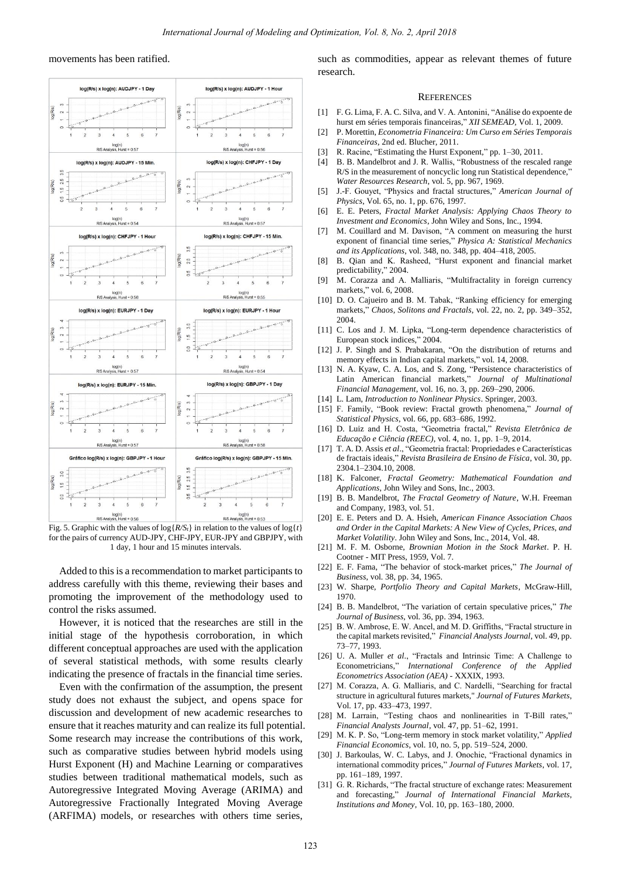#### movements has been ratified.



Fig. 5. Graphic with the values of  $\log\{R/S_t\}$  in relation to the values of  $\log\{t\}$ for the pairs of currency AUD-JPY, CHF-JPY, EUR-JPY and GBPJPY, with 1 day, 1 hour and 15 minutes intervals.

Added to this is a recommendation to market participants to address carefully with this theme, reviewing their bases and promoting the improvement of the methodology used to control the risks assumed.

However, it is noticed that the researches are still in the initial stage of the hypothesis corroboration, in which different conceptual approaches are used with the application of several statistical methods, with some results clearly indicating the presence of fractals in the financial time series.

Even with the confirmation of the assumption, the present study does not exhaust the subject, and opens space for discussion and development of new academic researches to ensure that it reaches maturity and can realize its full potential. Some research may increase the contributions of this work, such as comparative studies between hybrid models using Hurst Exponent (H) and Machine Learning or comparatives studies between traditional mathematical models, such as Autoregressive Integrated Moving Average (ARIMA) and Autoregressive Fractionally Integrated Moving Average (ARFIMA) models, or researches with others time series,

such as commodities, appear as relevant themes of future research.

#### **REFERENCES**

- [1] F. G. Lima, F. A. C. Silva, and V. A. Antonini, "Análise do expoente de hurst em séries temporais financeiras," *XII SEMEAD*, Vol. 1, 2009.
- [2] P. Morettin, *Econometria Financeira: Um Curso em Séries Temporais Financeiras*, 2nd ed. Blucher, 2011.
- [3] R. Racine, "Estimating the Hurst Exponent," pp. 1–30, 2011.
- [4] B. B. Mandelbrot and J. R. Wallis, "Robustness of the rescaled range R/S in the measurement of noncyclic long run Statistical dependence, *Water Resources Research*, vol. 5, pp. 967, 1969.
- [5] J.-F. Gouyet, "Physics and fractal structures," *American Journal of Physics*, Vol. 65, no. 1, pp. 676, 1997.
- [6] E. E. Peters, *Fractal Market Analysis: Applying Chaos Theory to Investment and Economics*, John Wiley and Sons, Inc., 1994.
- [7] M. Couillard and M. Davison, "A comment on measuring the hurst exponent of financial time series," *Physica A: Statistical Mechanics and its Applications*, vol. 348, no. 348, pp. 404–418, 2005.
- [8] B. Qian and K. Rasheed, "Hurst exponent and financial market predictability," 2004.
- [9] M. Corazza and A. Malliaris, "Multifractality in foreign currency markets," vol. 6, 2008.
- [10] D. O. Cajueiro and B. M. Tabak, "Ranking efficiency for emerging markets," *Chaos, Solitons and Fractals*, vol. 22, no. 2, pp. 349–352, 2004.
- [11] C. Los and J. M. Lipka, "Long-term dependence characteristics of European stock indices," 2004.
- [12] J. P. Singh and S. Prabakaran, "On the distribution of returns and memory effects in Indian capital markets," vol. 14, 2008.
- [13] N. A. Kyaw, C. A. Los, and S. Zong, "Persistence characteristics of Latin American financial markets," *Journal of Multinational Financial Management*, vol. 16, no. 3, pp. 269–290, 2006.
- [14] L. Lam, *Introduction to Nonlinear Physics*. Springer, 2003.
- [15] F. Family, "Book review: Fractal growth phenomena," *Journal of Statistical Physics*, vol. 66, pp. 683–686, 1992.
- [16] D. Luiz and H. Costa, "Geometria fractal," *Revista Eletrônica de Educação e Ciência (REEC)*, vol. 4, no. 1, pp. 1–9, 2014.
- [17] T. A. D. Assis et al., "Geometria fractal: Propriedades e Caracter ísticas de fractais ideais," *Revista Brasileira de Ensino de Física*, vol. 30, pp. 2304.1–2304.10, 2008.
- [18] K. Falconer, *Fractal Geometry: Mathematical Foundation and Applications*, John Wiley and Sons, Inc., 2003.
- [19] B. B. Mandelbrot, *The Fractal Geometry of Nature*, W.H. Freeman and Company, 1983, vol. 51.
- [20] E. E. Peters and D. A. Hsieh, *American Finance Association Chaos and Order in the Capital Markets: A New View of Cycles, Prices, and Market Volatility*. John Wiley and Sons, Inc., 2014, Vol. 48.
- [21] M. F. M. Osborne, *Brownian Motion in the Stock Market*. P. H. Cootner - MIT Press, 1959, Vol. 7.
- [22] E. F. Fama, "The behavior of stock-market prices," *The Journal of Business*, vol. 38, pp. 34, 1965.
- [23] W. Sharpe, *Portfolio Theory and Capital Markets*, McGraw-Hill, 1970.
- [24] B. B. Mandelbrot, "The variation of certain speculative prices," *The Journal of Business*, vol. 36, pp. 394, 1963.
- [25] B. W. Ambrose, E. W. Ancel, and M. D. Griffiths, "Fractal structure in the capital markets revisited," *Financial Analysts Journal*, vol. 49, pp. 73–77, 1993.
- [26] U. A. Muller *et al*., "Fractals and Intrinsic Time: A Challenge to Econometricians," *International Conference of the Applied Econometrics Association (AEA)* - XXXIX, 1993.
- [27] M. Corazza, A. G. Malliaris, and C. Nardelli, "Searching for fractal structure in agricultural futures markets," *Journal of Futures Markets*, Vol. 17, pp. 433–473, 1997.
- [28] M. Larrain, "Testing chaos and nonlinearities in T-Bill rates," *Financial Analysts Journal*, vol. 47, pp. 51–62, 1991.
- [29] M. K. P. So, "Long-term memory in stock market volatility," *Applied Financial Economics*, vol. 10, no. 5, pp. 519–524, 2000.
- [30] J. Barkoulas, W. C. Labys, and J. Onochie, "Fractional dynamics in international commodity prices," *Journal of Futures Markets*, vol. 17, pp. 161–189, 1997.
- [31] G. R. Richards, "The fractal structure of exchange rates: Measurement and forecasting," *Journal of International Financial Markets, Institutions and Money*, Vol. 10, pp. 163–180, 2000.